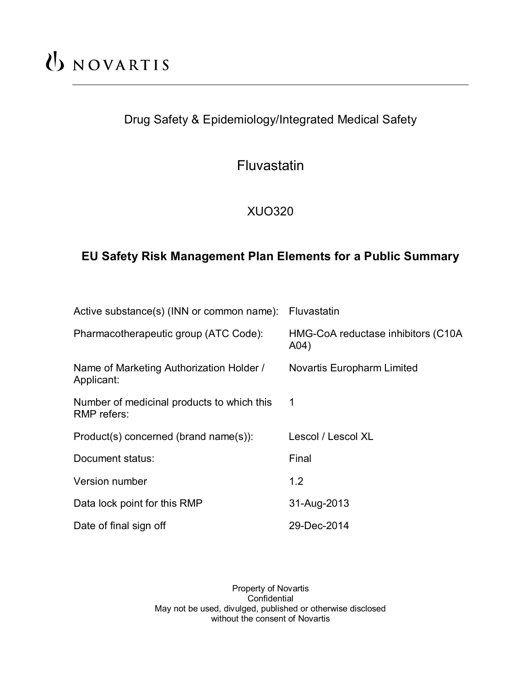# UNOVARTIS

# Drug Safety & Epidemiology/Integrated Medical Safety

Fluvastatin

XUO320

# **EU Safety Risk Management Plan Elements for a Public Summary**

| Active substance(s) (INN or common name):                 | Fluvastatin                                 |
|-----------------------------------------------------------|---------------------------------------------|
| Pharmacotherapeutic group (ATC Code):                     | HMG-CoA reductase inhibitors (C10A)<br>A04) |
| Name of Marketing Authorization Holder /<br>Applicant:    | <b>Novartis Europharm Limited</b>           |
| Number of medicinal products to which this<br>RMP refers: | 1                                           |
| Product(s) concerned (brand name(s)):                     | Lescol / Lescol XL                          |
| Document status:                                          | Final                                       |
| Version number                                            | 1.2                                         |
| Data lock point for this RMP                              | 31-Aug-2013                                 |
| Date of final sign off                                    | 29-Dec-2014                                 |

Property of Novartis **Confidential** May not be used, divulged, published or otherwise disclosed without the consent of Novartis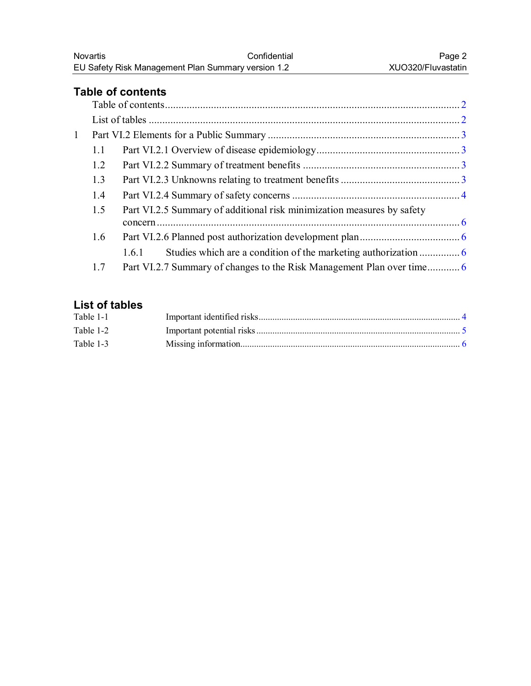## <span id="page-1-0"></span>**Table of contents**

| $\mathbf{1}$ |     |     |                                                                        |  |
|--------------|-----|-----|------------------------------------------------------------------------|--|
|              | 1.1 |     |                                                                        |  |
|              | 1.2 |     |                                                                        |  |
|              | 1.3 |     |                                                                        |  |
|              | 1.4 |     |                                                                        |  |
|              | 1.5 |     | Part VI.2.5 Summary of additional risk minimization measures by safety |  |
|              |     |     |                                                                        |  |
|              | 1.6 |     |                                                                        |  |
|              |     | 161 |                                                                        |  |
|              | 1.7 |     |                                                                        |  |

## **List of tables**

| Table 1-1 |  |
|-----------|--|
| Table 1-2 |  |
| Table 1-3 |  |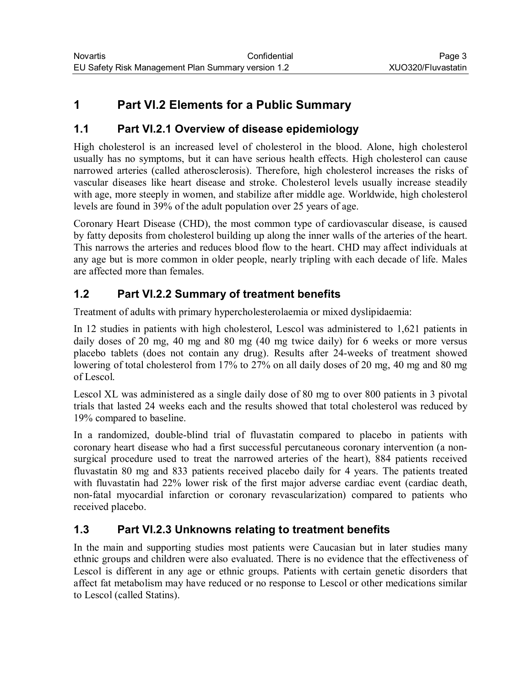# <span id="page-2-0"></span>**1 Part VI.2 Elements for a Public Summary**

### **1.1 Part VI.2.1 Overview of disease epidemiology**

High cholesterol is an increased level of cholesterol in the blood. Alone, high cholesterol usually has no symptoms, but it can have serious health effects. High cholesterol can cause narrowed arteries (called atherosclerosis). Therefore, high cholesterol increases the risks of vascular diseases like heart disease and stroke. Cholesterol levels usually increase steadily with age, more steeply in women, and stabilize after middle age. Worldwide, high cholesterol levels are found in 39% of the adult population over 25 years of age.

Coronary Heart Disease (CHD), the most common type of cardiovascular disease, is caused by fatty deposits from cholesterol building up along the inner walls of the arteries of the heart. This narrows the arteries and reduces blood flow to the heart. CHD may affect individuals at any age but is more common in older people, nearly tripling with each decade of life. Males are affected more than females.

## **1.2 Part VI.2.2 Summary of treatment benefits**

Treatment of adults with primary hypercholesterolaemia or mixed dyslipidaemia:

In 12 studies in patients with high cholesterol, Lescol was administered to 1,621 patients in daily doses of 20 mg, 40 mg and 80 mg (40 mg twice daily) for 6 weeks or more versus placebo tablets (does not contain any drug). Results after 24-weeks of treatment showed lowering of total cholesterol from 17% to 27% on all daily doses of 20 mg, 40 mg and 80 mg of Lescol.

Lescol XL was administered as a single daily dose of 80 mg to over 800 patients in 3 pivotal trials that lasted 24 weeks each and the results showed that total cholesterol was reduced by 19% compared to baseline.

In a randomized, double-blind trial of fluvastatin compared to placebo in patients with coronary heart disease who had a first successful percutaneous coronary intervention (a nonsurgical procedure used to treat the narrowed arteries of the heart), 884 patients received fluvastatin 80 mg and 833 patients received placebo daily for 4 years. The patients treated with fluvastatin had 22% lower risk of the first major adverse cardiac event (cardiac death, non-fatal myocardial infarction or coronary revascularization) compared to patients who received placebo.

### **1.3 Part VI.2.3 Unknowns relating to treatment benefits**

In the main and supporting studies most patients were Caucasian but in later studies many ethnic groups and children were also evaluated. There is no evidence that the effectiveness of Lescol is different in any age or ethnic groups. Patients with certain genetic disorders that affect fat metabolism may have reduced or no response to Lescol or other medications similar to Lescol (called Statins).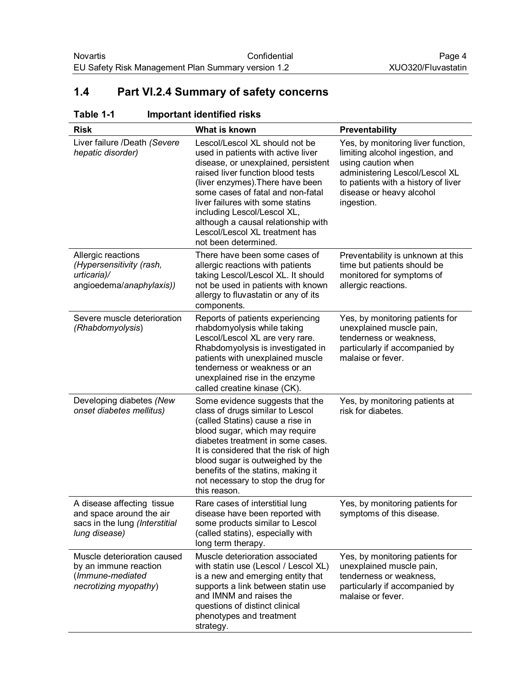## <span id="page-3-0"></span>**1.4 Part VI.2.4 Summary of safety concerns**

#### **Table 1-1 Important identified risks**

| <b>Risk</b>                                                                                               | What is known                                                                                                                                                                                                                                                                                                                                                                                 | <b>Preventability</b>                                                                                                                                                                                          |
|-----------------------------------------------------------------------------------------------------------|-----------------------------------------------------------------------------------------------------------------------------------------------------------------------------------------------------------------------------------------------------------------------------------------------------------------------------------------------------------------------------------------------|----------------------------------------------------------------------------------------------------------------------------------------------------------------------------------------------------------------|
| Liver failure /Death (Severe<br>hepatic disorder)                                                         | Lescol/Lescol XL should not be<br>used in patients with active liver<br>disease, or unexplained, persistent<br>raised liver function blood tests<br>(liver enzymes). There have been<br>some cases of fatal and non-fatal<br>liver failures with some statins<br>including Lescol/Lescol XL,<br>although a causal relationship with<br>Lescol/Lescol XL treatment has<br>not been determined. | Yes, by monitoring liver function,<br>limiting alcohol ingestion, and<br>using caution when<br>administering Lescol/Lescol XL<br>to patients with a history of liver<br>disease or heavy alcohol<br>ingestion. |
| Allergic reactions<br>(Hypersensitivity (rash,<br>urticaria)/<br>angioedema/anaphylaxis))                 | There have been some cases of<br>allergic reactions with patients<br>taking Lescol/Lescol XL. It should<br>not be used in patients with known<br>allergy to fluvastatin or any of its<br>components.                                                                                                                                                                                          | Preventability is unknown at this<br>time but patients should be<br>monitored for symptoms of<br>allergic reactions.                                                                                           |
| Severe muscle deterioration<br>(Rhabdomyolysis)                                                           | Reports of patients experiencing<br>rhabdomyolysis while taking<br>Lescol/Lescol XL are very rare.<br>Rhabdomyolysis is investigated in<br>patients with unexplained muscle<br>tenderness or weakness or an<br>unexplained rise in the enzyme<br>called creatine kinase (CK).                                                                                                                 | Yes, by monitoring patients for<br>unexplained muscle pain,<br>tenderness or weakness,<br>particularly if accompanied by<br>malaise or fever.                                                                  |
| Developing diabetes (New<br>onset diabetes mellitus)                                                      | Some evidence suggests that the<br>class of drugs similar to Lescol<br>(called Statins) cause a rise in<br>blood sugar, which may require<br>diabetes treatment in some cases.<br>It is considered that the risk of high<br>blood sugar is outweighed by the<br>benefits of the statins, making it<br>not necessary to stop the drug for<br>this reason.                                      | Yes, by monitoring patients at<br>risk for diabetes.                                                                                                                                                           |
| A disease affecting tissue<br>and space around the air<br>sacs in the lung (Interstitial<br>lung disease) | Rare cases of interstitial lung<br>disease have been reported with<br>some products similar to Lescol<br>(called statins), especially with<br>long term therapy.                                                                                                                                                                                                                              | Yes, by monitoring patients for<br>symptoms of this disease.                                                                                                                                                   |
| Muscle deterioration caused<br>by an immune reaction<br>(Immune-mediated<br>necrotizing myopathy)         | Muscle deterioration associated<br>with statin use (Lescol / Lescol XL)<br>is a new and emerging entity that<br>supports a link between statin use<br>and IMNM and raises the<br>questions of distinct clinical<br>phenotypes and treatment<br>strategy.                                                                                                                                      | Yes, by monitoring patients for<br>unexplained muscle pain,<br>tenderness or weakness,<br>particularly if accompanied by<br>malaise or fever.                                                                  |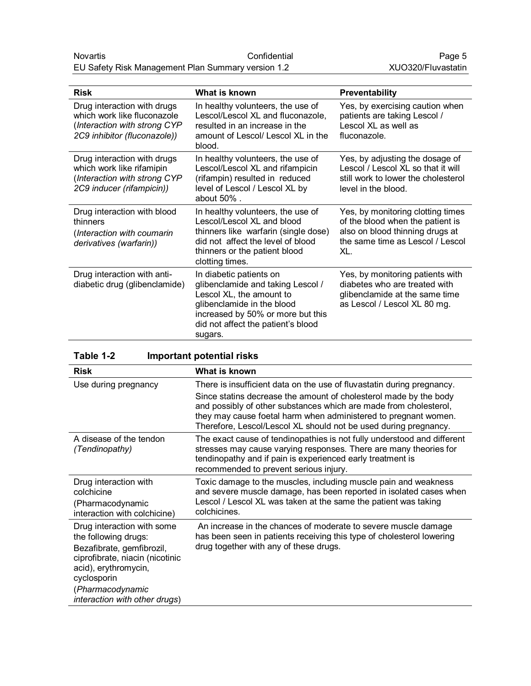<span id="page-4-0"></span>

| <b>Risk</b>                                                                                                                | What is known                                                                                                                                                                                                | Preventability                                                                                                                                      |
|----------------------------------------------------------------------------------------------------------------------------|--------------------------------------------------------------------------------------------------------------------------------------------------------------------------------------------------------------|-----------------------------------------------------------------------------------------------------------------------------------------------------|
| Drug interaction with drugs<br>which work like fluconazole<br>(Interaction with strong CYP<br>2C9 inhibitor (fluconazole)) | In healthy volunteers, the use of<br>Lescol/Lescol XL and fluconazole,<br>resulted in an increase in the<br>amount of Lescol/ Lescol XL in the<br>blood.                                                     | Yes, by exercising caution when<br>patients are taking Lescol /<br>Lescol XL as well as<br>fluconazole.                                             |
| Drug interaction with drugs<br>which work like rifamipin<br>(Interaction with strong CYP<br>2C9 inducer (rifampicin))      | In healthy volunteers, the use of<br>Lescol/Lescol XL and rifampicin<br>(rifampin) resulted in reduced<br>level of Lescol / Lescol XL by<br>about $50\%$ .                                                   | Yes, by adjusting the dosage of<br>Lescol / Lescol XL so that it will<br>still work to lower the cholesterol<br>level in the blood.                 |
| Drug interaction with blood<br>thinners<br>(Interaction with coumarin<br>derivatives (warfarin))                           | In healthy volunteers, the use of<br>Lescol/Lescol XL and blood<br>thinners like warfarin (single dose)<br>did not affect the level of blood<br>thinners or the patient blood<br>clotting times.             | Yes, by monitoring clotting times<br>of the blood when the patient is<br>also on blood thinning drugs at<br>the same time as Lescol / Lescol<br>XL. |
| Drug interaction with anti-<br>diabetic drug (glibenclamide)                                                               | In diabetic patients on<br>glibenclamide and taking Lescol /<br>Lescol XL, the amount to<br>glibenclamide in the blood<br>increased by 50% or more but this<br>did not affect the patient's blood<br>sugars. | Yes, by monitoring patients with<br>diabetes who are treated with<br>glibenclamide at the same time<br>as Lescol / Lescol XL 80 mg.                 |

| Table 1-2 | <b>Important potential risks</b> |
|-----------|----------------------------------|
|-----------|----------------------------------|

| <b>Risk</b>                                                                                                                                                                   | What is known                                                                                                                                                                                                                                                                                                                                           |
|-------------------------------------------------------------------------------------------------------------------------------------------------------------------------------|---------------------------------------------------------------------------------------------------------------------------------------------------------------------------------------------------------------------------------------------------------------------------------------------------------------------------------------------------------|
| Use during pregnancy                                                                                                                                                          | There is insufficient data on the use of fluvastatin during pregnancy.<br>Since statins decrease the amount of cholesterol made by the body<br>and possibly of other substances which are made from cholesterol,<br>they may cause foetal harm when administered to pregnant women.<br>Therefore, Lescol/Lescol XL should not be used during pregnancy. |
| A disease of the tendon<br>(Tendinopathy)                                                                                                                                     | The exact cause of tendinopathies is not fully understood and different<br>stresses may cause varying responses. There are many theories for<br>tendinopathy and if pain is experienced early treatment is<br>recommended to prevent serious injury.                                                                                                    |
| Drug interaction with<br>colchicine<br>(Pharmacodynamic<br>interaction with colchicine)                                                                                       | Toxic damage to the muscles, including muscle pain and weakness<br>and severe muscle damage, has been reported in isolated cases when<br>Lescol / Lescol XL was taken at the same the patient was taking<br>colchicines.                                                                                                                                |
| Drug interaction with some<br>the following drugs:<br>Bezafibrate, gemfibrozil,<br>ciprofibrate, niacin (nicotinic<br>acid), erythromycin,<br>cyclosporin<br>(Pharmacodynamic | An increase in the chances of moderate to severe muscle damage<br>has been seen in patients receiving this type of cholesterol lowering<br>drug together with any of these drugs.                                                                                                                                                                       |
| interaction with other drugs)                                                                                                                                                 |                                                                                                                                                                                                                                                                                                                                                         |